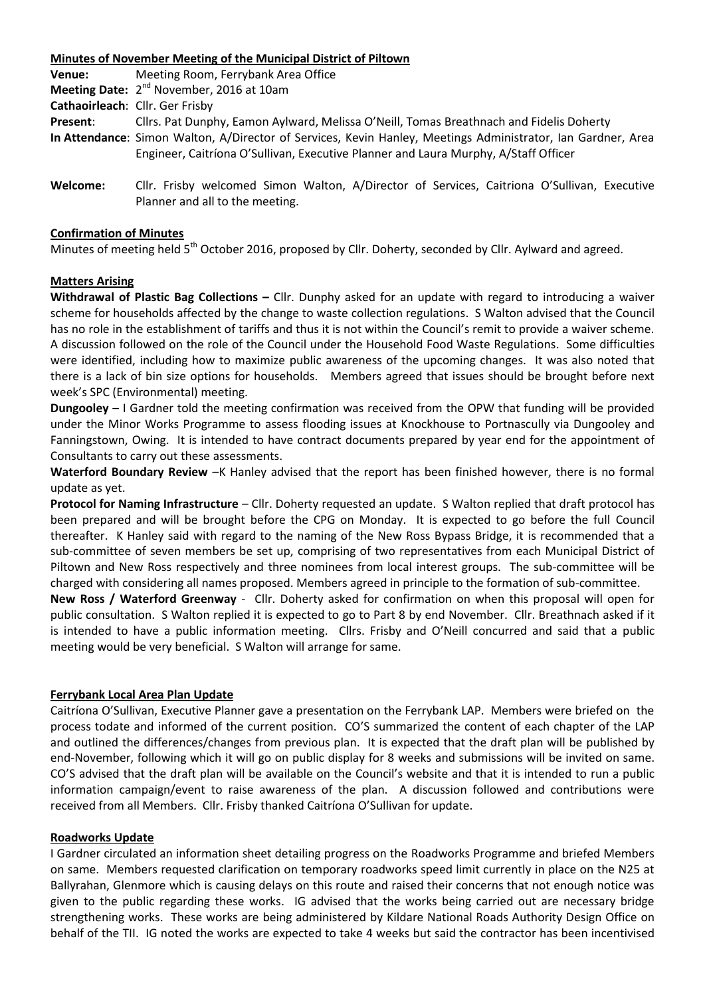| Minutes of November Meeting of the Municipal District of Piltown |                                                                                                                                |
|------------------------------------------------------------------|--------------------------------------------------------------------------------------------------------------------------------|
| Venue:                                                           | Meeting Room, Ferrybank Area Office                                                                                            |
|                                                                  | <b>Meeting Date:</b> $2^{nd}$ November, 2016 at 10am                                                                           |
| Cathaoirleach: Cllr. Ger Frisby                                  |                                                                                                                                |
| Present:                                                         | Cllrs. Pat Dunphy, Eamon Aylward, Melissa O'Neill, Tomas Breathnach and Fidelis Doherty                                        |
|                                                                  | In Attendance: Simon Walton, A/Director of Services, Kevin Hanley, Meetings Administrator, Ian Gardner, Area                   |
|                                                                  | Engineer, Caitríona O'Sullivan, Executive Planner and Laura Murphy, A/Staff Officer                                            |
| Welcome:                                                         | Cllr. Frisby welcomed Simon Walton, A/Director of Services, Caitriona O'Sullivan, Executive<br>Planner and all to the meeting. |

### **Confirmation of Minutes**

Minutes of meeting held 5<sup>th</sup> October 2016, proposed by Cllr. Doherty, seconded by Cllr. Aylward and agreed.

#### **Matters Arising**

**Withdrawal of Plastic Bag Collections –** Cllr. Dunphy asked for an update with regard to introducing a waiver scheme for households affected by the change to waste collection regulations. S Walton advised that the Council has no role in the establishment of tariffs and thus it is not within the Council's remit to provide a waiver scheme. A discussion followed on the role of the Council under the Household Food Waste Regulations. Some difficulties were identified, including how to maximize public awareness of the upcoming changes. It was also noted that there is a lack of bin size options for households. Members agreed that issues should be brought before next week's SPC (Environmental) meeting.

**Dungooley** – I Gardner told the meeting confirmation was received from the OPW that funding will be provided under the Minor Works Programme to assess flooding issues at Knockhouse to Portnascully via Dungooley and Fanningstown, Owing. It is intended to have contract documents prepared by year end for the appointment of Consultants to carry out these assessments.

**Waterford Boundary Review** –K Hanley advised that the report has been finished however, there is no formal update as yet.

**Protocol for Naming Infrastructure** – Cllr. Doherty requested an update. S Walton replied that draft protocol has been prepared and will be brought before the CPG on Monday. It is expected to go before the full Council thereafter. K Hanley said with regard to the naming of the New Ross Bypass Bridge, it is recommended that a sub-committee of seven members be set up, comprising of two representatives from each Municipal District of Piltown and New Ross respectively and three nominees from local interest groups. The sub-committee will be charged with considering all names proposed. Members agreed in principle to the formation of sub-committee.

**New Ross / Waterford Greenway** - Cllr. Doherty asked for confirmation on when this proposal will open for public consultation. S Walton replied it is expected to go to Part 8 by end November. Cllr. Breathnach asked if it is intended to have a public information meeting. Cllrs. Frisby and O'Neill concurred and said that a public meeting would be very beneficial. S Walton will arrange for same.

#### **Ferrybank Local Area Plan Update**

Caitríona O'Sullivan, Executive Planner gave a presentation on the Ferrybank LAP. Members were briefed on the process todate and informed of the current position. CO'S summarized the content of each chapter of the LAP and outlined the differences/changes from previous plan. It is expected that the draft plan will be published by end-November, following which it will go on public display for 8 weeks and submissions will be invited on same. CO'S advised that the draft plan will be available on the Council's website and that it is intended to run a public information campaign/event to raise awareness of the plan. A discussion followed and contributions were received from all Members. Cllr. Frisby thanked Caitríona O'Sullivan for update.

#### **Roadworks Update**

I Gardner circulated an information sheet detailing progress on the Roadworks Programme and briefed Members on same. Members requested clarification on temporary roadworks speed limit currently in place on the N25 at Ballyrahan, Glenmore which is causing delays on this route and raised their concerns that not enough notice was given to the public regarding these works. IG advised that the works being carried out are necessary bridge strengthening works. These works are being administered by Kildare National Roads Authority Design Office on behalf of the TII. IG noted the works are expected to take 4 weeks but said the contractor has been incentivised